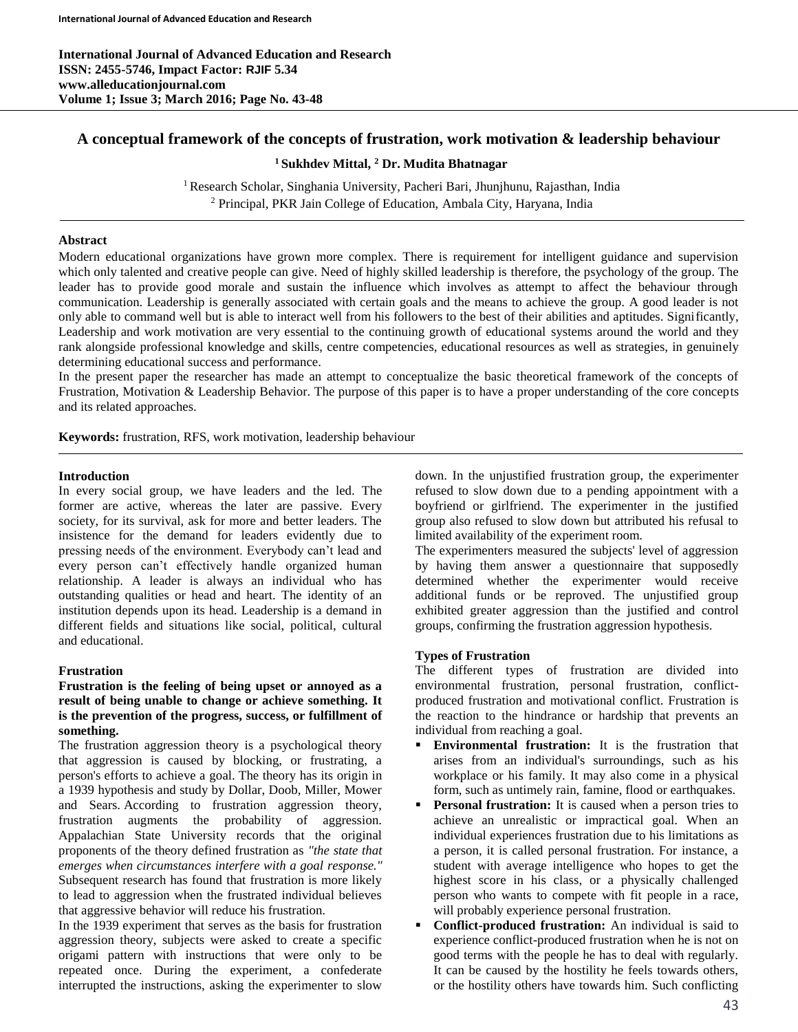**International Journal of Advanced Education and Research ISSN: 2455-5746, Impact Factor: RJIF 5.34 www.alleducationjournal.com Volume 1; Issue 3; March 2016; Page No. 43-48**

# **A conceptual framework of the concepts of frustration, work motivation & leadership behaviour**

### **<sup>1</sup> Sukhdev Mittal, <sup>2</sup> Dr. Mudita Bhatnagar**

<sup>1</sup> Research Scholar, Singhania University, Pacheri Bari, Jhunjhunu, Rajasthan, India <sup>2</sup> Principal, PKR Jain College of Education, Ambala City, Haryana, India

### **Abstract**

Modern educational organizations have grown more complex. There is requirement for intelligent guidance and supervision which only talented and creative people can give. Need of highly skilled leadership is therefore, the psychology of the group. The leader has to provide good morale and sustain the influence which involves as attempt to affect the behaviour through communication. Leadership is generally associated with certain goals and the means to achieve the group. A good leader is not only able to command well but is able to interact well from his followers to the best of their abilities and aptitudes. Significantly, Leadership and work motivation are very essential to the continuing growth of educational systems around the world and they rank alongside professional knowledge and skills, centre competencies, educational resources as well as strategies, in genuinely determining educational success and performance.

In the present paper the researcher has made an attempt to conceptualize the basic theoretical framework of the concepts of Frustration, Motivation & Leadership Behavior. The purpose of this paper is to have a proper understanding of the core concepts and its related approaches.

**Keywords:** frustration, RFS, work motivation, leadership behaviour

### **Introduction**

In every social group, we have leaders and the led. The former are active, whereas the later are passive. Every society, for its survival, ask for more and better leaders. The insistence for the demand for leaders evidently due to pressing needs of the environment. Everybody can't lead and every person can't effectively handle organized human relationship. A leader is always an individual who has outstanding qualities or head and heart. The identity of an institution depends upon its head. Leadership is a demand in different fields and situations like social, political, cultural and educational.

## **Frustration**

## **Frustration is the feeling of being upset or annoyed as a result of being unable to change or achieve something. It is the prevention of the progress, success, or fulfillment of something.**

The frustration aggression theory is a psychological theory that aggression is caused by blocking, or frustrating, a person's efforts to achieve a goal. The theory has its origin in a 1939 hypothesis and study by Dollar, Doob, Miller, Mower and Sears. According to frustration aggression theory, frustration augments the probability of aggression. Appalachian State University records that the original proponents of the theory defined frustration as *"the state that emerges when circumstances interfere with a goal response."* Subsequent research has found that frustration is more likely to lead to aggression when the frustrated individual believes that aggressive behavior will reduce his frustration.

In the 1939 experiment that serves as the basis for frustration aggression theory, subjects were asked to create a specific origami pattern with instructions that were only to be repeated once. During the experiment, a confederate interrupted the instructions, asking the experimenter to slow

down. In the unjustified frustration group, the experimenter refused to slow down due to a pending appointment with a boyfriend or girlfriend. The experimenter in the justified group also refused to slow down but attributed his refusal to limited availability of the experiment room.

The experimenters measured the subjects' level of aggression by having them answer a questionnaire that supposedly determined whether the experimenter would receive additional funds or be reproved. The unjustified group exhibited greater aggression than the justified and control groups, confirming the frustration aggression hypothesis.

## **Types of Frustration**

The different types of frustration are divided into environmental frustration, personal frustration, conflictproduced frustration and motivational conflict. Frustration is the reaction to the hindrance or hardship that prevents an individual from reaching a goal.

- **Environmental frustration:** It is the frustration that arises from an individual's surroundings, such as his workplace or his family. It may also come in a physical form, such as untimely rain, famine, flood or earthquakes.
- **Personal frustration:** It is caused when a person tries to achieve an unrealistic or impractical goal. When an individual experiences frustration due to his limitations as a person, it is called personal frustration. For instance, a student with average intelligence who hopes to get the highest score in his class, or a physically challenged person who wants to compete with fit people in a race, will probably experience personal frustration.
- **Conflict-produced frustration:** An individual is said to experience conflict-produced frustration when he is not on good terms with the people he has to deal with regularly. It can be caused by the hostility he feels towards others, or the hostility others have towards him. Such conflicting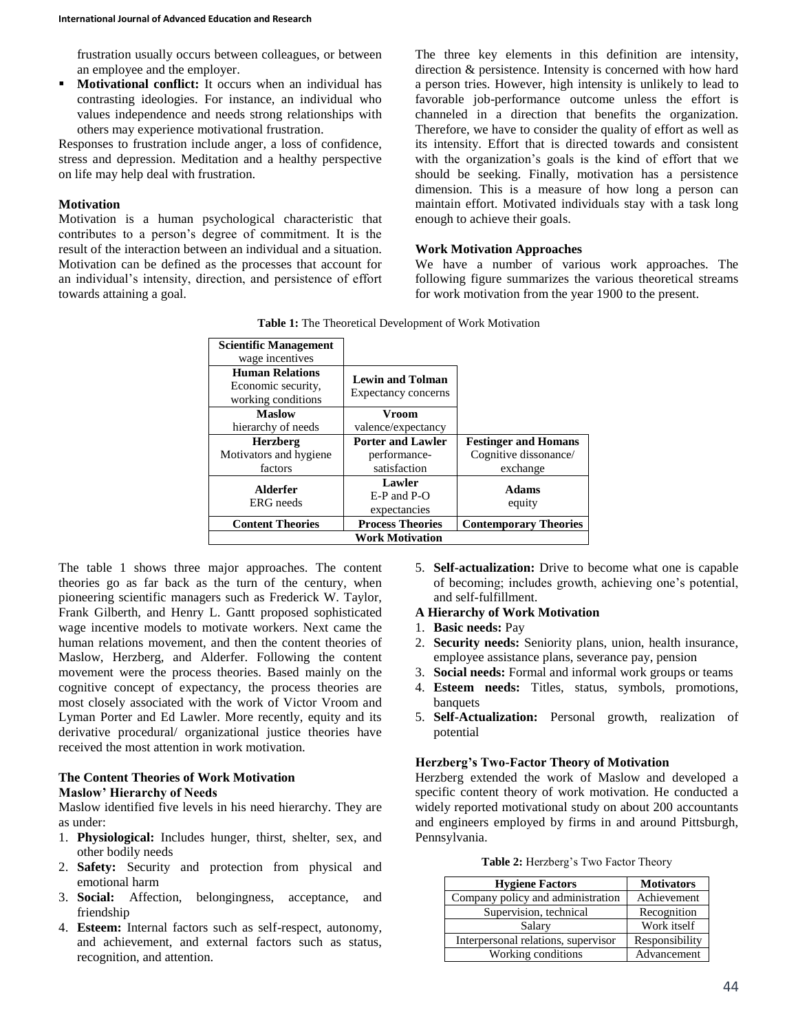frustration usually occurs between colleagues, or between an employee and the employer.

**Motivational conflict:** It occurs when an individual has contrasting ideologies. For instance, an individual who values independence and needs strong relationships with others may experience motivational frustration.

Responses to frustration include anger, a loss of confidence, stress and depression. Meditation and a healthy perspective on life may help deal with frustration.

### **Motivation**

Motivation is a human psychological characteristic that contributes to a person's degree of commitment. It is the result of the interaction between an individual and a situation. Motivation can be defined as the processes that account for an individual's intensity, direction, and persistence of effort towards attaining a goal.

The three key elements in this definition are intensity, direction & persistence. Intensity is concerned with how hard a person tries. However, high intensity is unlikely to lead to favorable job-performance outcome unless the effort is channeled in a direction that benefits the organization. Therefore, we have to consider the quality of effort as well as its intensity. Effort that is directed towards and consistent with the organization's goals is the kind of effort that we should be seeking. Finally, motivation has a persistence dimension. This is a measure of how long a person can maintain effort. Motivated individuals stay with a task long enough to achieve their goals.

### **Work Motivation Approaches**

We have a number of various work approaches. The following figure summarizes the various theoretical streams for work motivation from the year 1900 to the present.

| <b>Work Motivation</b>       |                            |                              |  |
|------------------------------|----------------------------|------------------------------|--|
| <b>Content Theories</b>      | <b>Process Theories</b>    | <b>Contemporary Theories</b> |  |
|                              | expectancies               | equity                       |  |
| <b>Alderfer</b><br>ERG needs | $E-P$ and $P-O$            | <b>Adams</b>                 |  |
|                              | Lawler                     |                              |  |
| factors                      | satisfaction               | exchange                     |  |
| Motivators and hygiene       | performance-               | Cognitive dissonance/        |  |
| <b>Herzberg</b>              | <b>Porter and Lawler</b>   | <b>Festinger and Homans</b>  |  |
| hierarchy of needs           | valence/expectancy         |                              |  |
| <b>Maslow</b>                | Vroom                      |                              |  |
| working conditions           | <b>Expectancy concerns</b> |                              |  |
| Economic security,           | <b>Lewin and Tolman</b>    |                              |  |
| <b>Human Relations</b>       |                            |                              |  |
| wage incentives              |                            |                              |  |
| <b>Scientific Management</b> |                            |                              |  |

**Table 1:** The Theoretical Development of Work Motivation

The table 1 shows three major approaches. The content theories go as far back as the turn of the century, when pioneering scientific managers such as Frederick W. Taylor, Frank Gilberth, and Henry L. Gantt proposed sophisticated wage incentive models to motivate workers. Next came the human relations movement, and then the content theories of Maslow, Herzberg, and Alderfer. Following the content movement were the process theories. Based mainly on the cognitive concept of expectancy, the process theories are most closely associated with the work of Victor Vroom and Lyman Porter and Ed Lawler. More recently, equity and its derivative procedural/ organizational justice theories have received the most attention in work motivation.

#### **The Content Theories of Work Motivation Maslow' Hierarchy of Needs**

Maslow identified five levels in his need hierarchy. They are as under:

- 1. **Physiological:** Includes hunger, thirst, shelter, sex, and other bodily needs
- 2. **Safety:** Security and protection from physical and emotional harm
- 3. **Social:** Affection, belongingness, acceptance, and friendship
- 4. **Esteem:** Internal factors such as self-respect, autonomy, and achievement, and external factors such as status, recognition, and attention.

5. **Self-actualization:** Drive to become what one is capable of becoming; includes growth, achieving one's potential, and self-fulfillment.

#### **A Hierarchy of Work Motivation**

- 1. **Basic needs:** Pay
- 2. **Security needs:** Seniority plans, union, health insurance, employee assistance plans, severance pay, pension
- 3. **Social needs:** Formal and informal work groups or teams
- 4. **Esteem needs:** Titles, status, symbols, promotions, banquets
- 5. **Self-Actualization:** Personal growth, realization of potential

### **Herzberg's Two-Factor Theory of Motivation**

Herzberg extended the work of Maslow and developed a specific content theory of work motivation. He conducted a widely reported motivational study on about 200 accountants and engineers employed by firms in and around Pittsburgh, Pennsylvania.

**Table 2:** Herzberg's Two Factor Theory

| <b>Hygiene Factors</b>              | <b>Motivators</b> |
|-------------------------------------|-------------------|
| Company policy and administration   | Achievement       |
| Supervision, technical              | Recognition       |
| Salary                              | Work itself       |
| Interpersonal relations, supervisor | Responsibility    |
| Working conditions                  | Advancement       |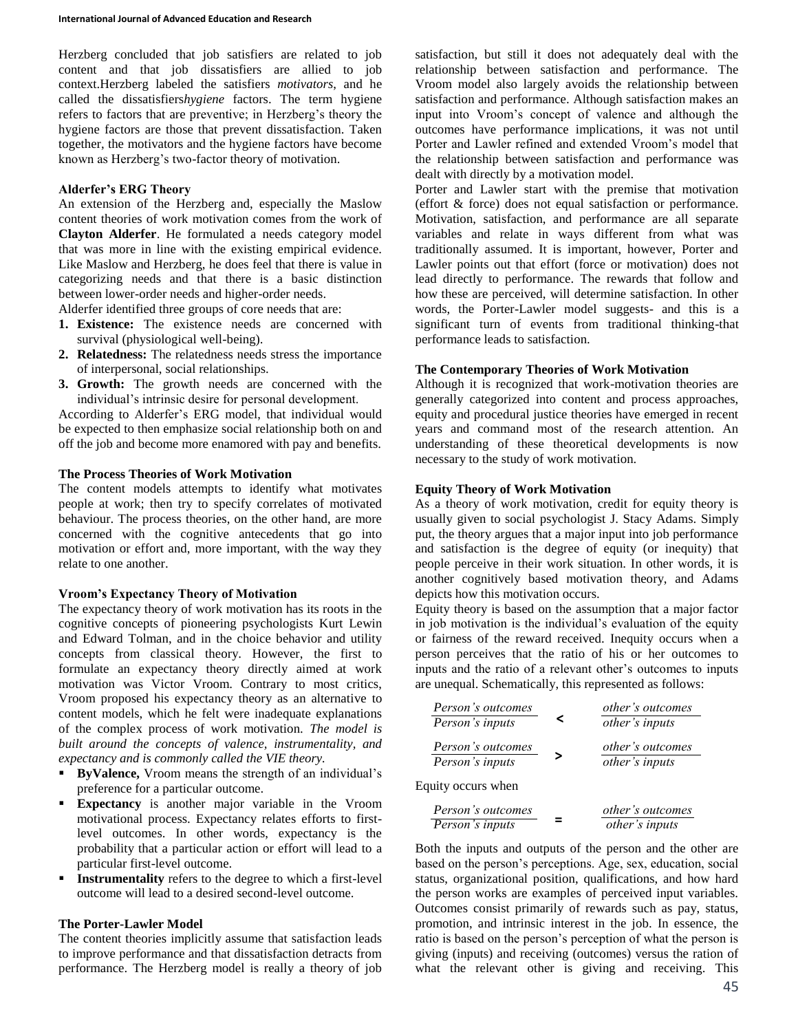Herzberg concluded that job satisfiers are related to job content and that job dissatisfiers are allied to job context.Herzberg labeled the satisfiers *motivators*, and he called the dissatisfiers*hygiene* factors. The term hygiene refers to factors that are preventive; in Herzberg's theory the hygiene factors are those that prevent dissatisfaction. Taken together, the motivators and the hygiene factors have become known as Herzberg's two-factor theory of motivation.

### **Alderfer's ERG Theory**

An extension of the Herzberg and, especially the Maslow content theories of work motivation comes from the work of **Clayton Alderfer**. He formulated a needs category model that was more in line with the existing empirical evidence. Like Maslow and Herzberg, he does feel that there is value in categorizing needs and that there is a basic distinction between lower-order needs and higher-order needs.

Alderfer identified three groups of core needs that are:

- **1. Existence:** The existence needs are concerned with survival (physiological well-being).
- **2. Relatedness:** The relatedness needs stress the importance of interpersonal, social relationships.
- **3. Growth:** The growth needs are concerned with the individual's intrinsic desire for personal development.

According to Alderfer's ERG model, that individual would be expected to then emphasize social relationship both on and off the job and become more enamored with pay and benefits.

#### **The Process Theories of Work Motivation**

The content models attempts to identify what motivates people at work; then try to specify correlates of motivated behaviour. The process theories, on the other hand, are more concerned with the cognitive antecedents that go into motivation or effort and, more important, with the way they relate to one another.

#### **Vroom's Expectancy Theory of Motivation**

The expectancy theory of work motivation has its roots in the cognitive concepts of pioneering psychologists Kurt Lewin and Edward Tolman, and in the choice behavior and utility concepts from classical theory. However, the first to formulate an expectancy theory directly aimed at work motivation was Victor Vroom. Contrary to most critics, Vroom proposed his expectancy theory as an alternative to content models, which he felt were inadequate explanations of the complex process of work motivation. *The model is built around the concepts of valence, instrumentality, and expectancy and is commonly called the VIE theory.*

- **ByValence,** Vroom means the strength of an individual's preference for a particular outcome.
- **Expectancy** is another major variable in the Vroom motivational process. Expectancy relates efforts to firstlevel outcomes. In other words, expectancy is the probability that a particular action or effort will lead to a particular first-level outcome.
- **Instrumentality** refers to the degree to which a first-level outcome will lead to a desired second-level outcome.

#### **The Porter-Lawler Model**

The content theories implicitly assume that satisfaction leads to improve performance and that dissatisfaction detracts from performance. The Herzberg model is really a theory of job

satisfaction, but still it does not adequately deal with the relationship between satisfaction and performance. The Vroom model also largely avoids the relationship between satisfaction and performance. Although satisfaction makes an input into Vroom's concept of valence and although the outcomes have performance implications, it was not until Porter and Lawler refined and extended Vroom's model that the relationship between satisfaction and performance was dealt with directly by a motivation model.

Porter and Lawler start with the premise that motivation (effort & force) does not equal satisfaction or performance. Motivation, satisfaction, and performance are all separate variables and relate in ways different from what was traditionally assumed. It is important, however, Porter and Lawler points out that effort (force or motivation) does not lead directly to performance. The rewards that follow and how these are perceived, will determine satisfaction. In other words, the Porter-Lawler model suggests- and this is a significant turn of events from traditional thinking-that performance leads to satisfaction.

#### **The Contemporary Theories of Work Motivation**

Although it is recognized that work-motivation theories are generally categorized into content and process approaches, equity and procedural justice theories have emerged in recent years and command most of the research attention. An understanding of these theoretical developments is now necessary to the study of work motivation.

### **Equity Theory of Work Motivation**

As a theory of work motivation, credit for equity theory is usually given to social psychologist J. Stacy Adams. Simply put, the theory argues that a major input into job performance and satisfaction is the degree of equity (or inequity) that people perceive in their work situation. In other words, it is another cognitively based motivation theory, and Adams depicts how this motivation occurs.

Equity theory is based on the assumption that a major factor in job motivation is the individual's evaluation of the equity or fairness of the reward received. Inequity occurs when a person perceives that the ratio of his or her outcomes to inputs and the ratio of a relevant other's outcomes to inputs are unequal. Schematically, this represented as follows:

| Person's outcomes |   | other's outcomes |
|-------------------|---|------------------|
| Person's inputs   |   | other's inputs   |
| Person's outcomes | ⋗ | other's outcomes |
| Person's inputs   |   | other's inputs   |

Equity occurs when

| Person's outcomes | other's outcomes |
|-------------------|------------------|
| Person's inputs   | other's inputs   |

Both the inputs and outputs of the person and the other are based on the person's perceptions. Age, sex, education, social status, organizational position, qualifications, and how hard the person works are examples of perceived input variables. Outcomes consist primarily of rewards such as pay, status, promotion, and intrinsic interest in the job. In essence, the ratio is based on the person's perception of what the person is giving (inputs) and receiving (outcomes) versus the ration of what the relevant other is giving and receiving. This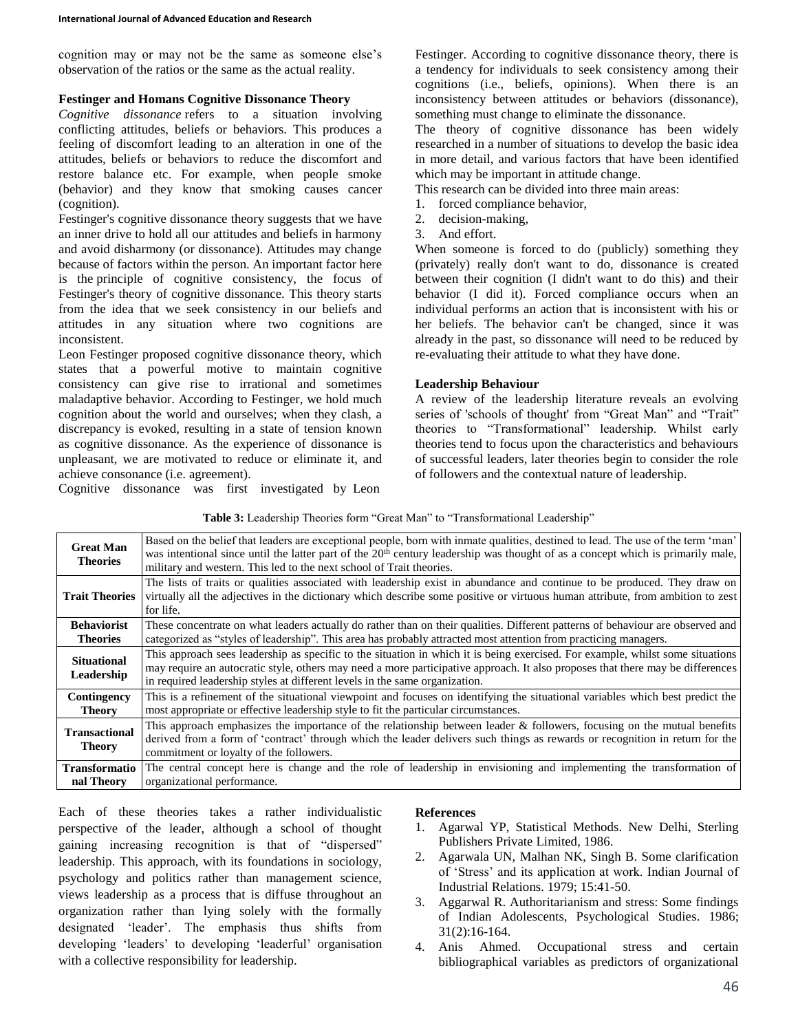cognition may or may not be the same as someone else's observation of the ratios or the same as the actual reality.

### **Festinger and Homans Cognitive Dissonance Theory**

*Cognitive dissonance* refers to a situation involving conflicting attitudes, beliefs or behaviors. This produces a feeling of discomfort leading to an alteration in one of the attitudes, beliefs or behaviors to reduce the discomfort and restore balance etc. For example, when people smoke (behavior) and they know that smoking causes cancer (cognition).

Festinger's cognitive dissonance theory suggests that we have an inner drive to hold all our attitudes and beliefs in harmony and avoid disharmony (or dissonance). Attitudes may change because of factors within the person. An important factor here is the principle of cognitive consistency, the focus of Festinger's theory of cognitive dissonance. This theory starts from the idea that we seek consistency in our beliefs and attitudes in any situation where two cognitions are inconsistent.

Leon Festinger proposed cognitive dissonance theory, which states that a powerful motive to maintain cognitive consistency can give rise to irrational and sometimes maladaptive behavior. According to Festinger, we hold much cognition about the world and ourselves; when they clash, a discrepancy is evoked, resulting in a state of tension known as cognitive dissonance. As the experience of dissonance is unpleasant, we are motivated to reduce or eliminate it, and achieve consonance (i.e. agreement).

Cognitive dissonance was first investigated by Leon

Festinger. According to cognitive dissonance theory, there is a tendency for individuals to seek consistency among their cognitions (i.e., beliefs, opinions). When there is an inconsistency between attitudes or behaviors (dissonance), something must change to eliminate the dissonance.

The theory of cognitive dissonance has been widely researched in a number of situations to develop the basic idea in more detail, and various factors that have been identified which may be important in attitude change.

This research can be divided into three main areas:

- 1. forced compliance behavior,
- 2. decision-making,
- 3. And effort.

When someone is forced to do (publicly) something they (privately) really don't want to do, dissonance is created between their cognition (I didn't want to do this) and their behavior (I did it). Forced compliance occurs when an individual performs an action that is inconsistent with his or her beliefs. The behavior can't be changed, since it was already in the past, so dissonance will need to be reduced by re-evaluating their attitude to what they have done.

# **Leadership Behaviour**

A review of the leadership literature reveals an evolving series of 'schools of thought' from "Great Man" and "Trait" theories to "Transformational" leadership. Whilst early theories tend to focus upon the characteristics and behaviours of successful leaders, later theories begin to consider the role of followers and the contextual nature of leadership.

| <b>Great Man</b><br><b>Theories</b>   | Based on the belief that leaders are exceptional people, born with inmate qualities, destined to lead. The use of the term 'man'<br>was intentional since until the latter part of the 20 <sup>th</sup> century leadership was thought of as a concept which is primarily male,<br>military and western. This led to the next school of Trait theories. |
|---------------------------------------|---------------------------------------------------------------------------------------------------------------------------------------------------------------------------------------------------------------------------------------------------------------------------------------------------------------------------------------------------------|
| <b>Trait Theories</b>                 | The lists of traits or qualities associated with leadership exist in abundance and continue to be produced. They draw on<br>virtually all the adjectives in the dictionary which describe some positive or virtuous human attribute, from ambition to zest<br>for life.                                                                                 |
| <b>Behaviorist</b><br><b>Theories</b> | These concentrate on what leaders actually do rather than on their qualities. Different patterns of behaviour are observed and<br>categorized as "styles of leadership". This area has probably attracted most attention from practicing managers.                                                                                                      |
| <b>Situational</b><br>Leadership      | This approach sees leadership as specific to the situation in which it is being exercised. For example, whilst some situations<br>may require an autocratic style, others may need a more participative approach. It also proposes that there may be differences<br>in required leadership styles at different levels in the same organization.         |
| Contingency<br><b>Theory</b>          | This is a refinement of the situational viewpoint and focuses on identifying the situational variables which best predict the<br>most appropriate or effective leadership style to fit the particular circumstances.                                                                                                                                    |
| <b>Transactional</b><br><b>Theory</b> | This approach emphasizes the importance of the relationship between leader & followers, focusing on the mutual benefits<br>derived from a form of 'contract' through which the leader delivers such things as rewards or recognition in return for the<br>commitment or loyalty of the followers.                                                       |
| <b>Transformatio</b><br>nal Theory    | The central concept here is change and the role of leadership in envisioning and implementing the transformation of<br>organizational performance.                                                                                                                                                                                                      |

**Table 3:** Leadership Theories form "Great Man" to "Transformational Leadership"

Each of these theories takes a rather individualistic perspective of the leader, although a school of thought gaining increasing recognition is that of "dispersed" leadership. This approach, with its foundations in sociology, psychology and politics rather than management science, views leadership as a process that is diffuse throughout an organization rather than lying solely with the formally designated 'leader'. The emphasis thus shifts from developing 'leaders' to developing 'leaderful' organisation with a collective responsibility for leadership.

## **References**

- 1. Agarwal YP, Statistical Methods. New Delhi, Sterling Publishers Private Limited, 1986.
- 2. Agarwala UN, Malhan NK, Singh B. Some clarification of 'Stress' and its application at work. Indian Journal of Industrial Relations. 1979; 15:41-50.
- 3. Aggarwal R. Authoritarianism and stress: Some findings of Indian Adolescents, Psychological Studies. 1986; 31(2):16-164.
- 4. Anis Ahmed. Occupational stress and certain bibliographical variables as predictors of organizational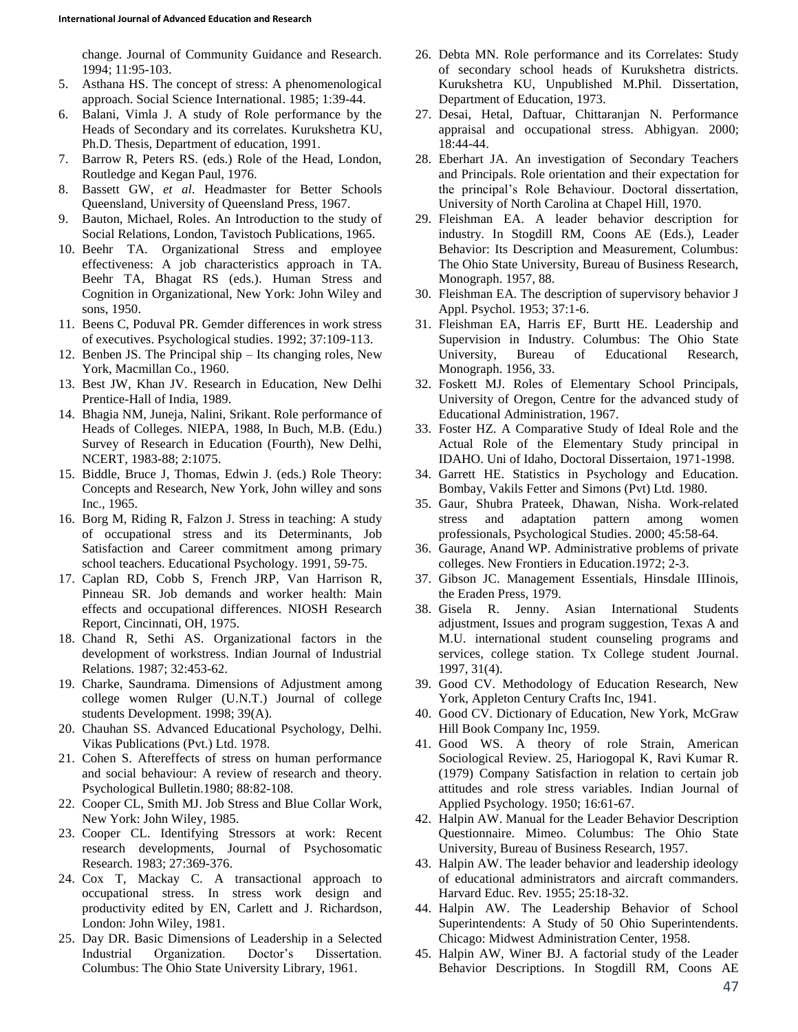change. Journal of Community Guidance and Research. 1994; 11:95-103.

- 5. Asthana HS. The concept of stress: A phenomenological approach. Social Science International. 1985; 1:39-44.
- 6. Balani, Vimla J. A study of Role performance by the Heads of Secondary and its correlates. Kurukshetra KU, Ph.D. Thesis, Department of education, 1991.
- 7. Barrow R, Peters RS. (eds.) Role of the Head, London, Routledge and Kegan Paul, 1976.
- 8. Bassett GW, *et al*. Headmaster for Better Schools Queensland, University of Queensland Press, 1967.
- 9. Bauton, Michael, Roles. An Introduction to the study of Social Relations, London, Tavistoch Publications, 1965.
- 10. Beehr TA. Organizational Stress and employee effectiveness: A job characteristics approach in TA. Beehr TA, Bhagat RS (eds.). Human Stress and Cognition in Organizational, New York: John Wiley and sons, 1950.
- 11. Beens C, Poduval PR. Gemder differences in work stress of executives. Psychological studies. 1992; 37:109-113.
- 12. Benben JS. The Principal ship Its changing roles, New York, Macmillan Co., 1960.
- 13. Best JW, Khan JV. Research in Education, New Delhi Prentice-Hall of India, 1989.
- 14. Bhagia NM, Juneja, Nalini, Srikant. Role performance of Heads of Colleges. NIEPA, 1988, In Buch, M.B. (Edu.) Survey of Research in Education (Fourth), New Delhi, NCERT, 1983-88; 2:1075.
- 15. Biddle, Bruce J, Thomas, Edwin J. (eds.) Role Theory: Concepts and Research, New York, John willey and sons Inc., 1965.
- 16. Borg M, Riding R, Falzon J. Stress in teaching: A study of occupational stress and its Determinants, Job Satisfaction and Career commitment among primary school teachers. Educational Psychology. 1991, 59-75.
- 17. Caplan RD, Cobb S, French JRP, Van Harrison R, Pinneau SR. Job demands and worker health: Main effects and occupational differences. NIOSH Research Report, Cincinnati, OH, 1975.
- 18. Chand R, Sethi AS. Organizational factors in the development of workstress. Indian Journal of Industrial Relations. 1987; 32:453-62.
- 19. Charke, Saundrama. Dimensions of Adjustment among college women Rulger (U.N.T.) Journal of college students Development. 1998; 39(A).
- 20. Chauhan SS. Advanced Educational Psychology, Delhi. Vikas Publications (Pvt.) Ltd. 1978.
- 21. Cohen S. Aftereffects of stress on human performance and social behaviour: A review of research and theory. Psychological Bulletin.1980; 88:82-108.
- 22. Cooper CL, Smith MJ. Job Stress and Blue Collar Work, New York: John Wiley, 1985.
- 23. Cooper CL. Identifying Stressors at work: Recent research developments, Journal of Psychosomatic Research. 1983; 27:369-376.
- 24. Cox T, Mackay C. A transactional approach to occupational stress. In stress work design and productivity edited by EN, Carlett and J. Richardson, London: John Wiley, 1981.
- 25. Day DR. Basic Dimensions of Leadership in a Selected Industrial Organization. Doctor's Dissertation. Columbus: The Ohio State University Library, 1961.
- 26. Debta MN. Role performance and its Correlates: Study of secondary school heads of Kurukshetra districts. Kurukshetra KU, Unpublished M.Phil. Dissertation, Department of Education, 1973.
- 27. Desai, Hetal, Daftuar, Chittaranjan N. Performance appraisal and occupational stress. Abhigyan. 2000; 18:44-44.
- 28. Eberhart JA. An investigation of Secondary Teachers and Principals. Role orientation and their expectation for the principal's Role Behaviour. Doctoral dissertation, University of North Carolina at Chapel Hill, 1970.
- 29. Fleishman EA. A leader behavior description for industry. In Stogdill RM, Coons AE (Eds.), Leader Behavior: Its Description and Measurement, Columbus: The Ohio State University, Bureau of Business Research, Monograph. 1957, 88.
- 30. Fleishman EA. The description of supervisory behavior J Appl. Psychol. 1953; 37:1-6.
- 31. Fleishman EA, Harris EF, Burtt HE. Leadership and Supervision in Industry. Columbus: The Ohio State University, Bureau of Educational Research, Monograph. 1956, 33.
- 32. Foskett MJ. Roles of Elementary School Principals, University of Oregon, Centre for the advanced study of Educational Administration, 1967.
- 33. Foster HZ. A Comparative Study of Ideal Role and the Actual Role of the Elementary Study principal in IDAHO. Uni of Idaho, Doctoral Dissertaion, 1971-1998.
- 34. Garrett HE. Statistics in Psychology and Education. Bombay, Vakils Fetter and Simons (Pvt) Ltd. 1980.
- 35. Gaur, Shubra Prateek, Dhawan, Nisha. Work-related stress and adaptation pattern among women professionals, Psychological Studies. 2000; 45:58-64.
- 36. Gaurage, Anand WP. Administrative problems of private colleges. New Frontiers in Education.1972; 2-3.
- 37. Gibson JC. Management Essentials, Hinsdale IIIinois, the Eraden Press, 1979.
- 38. Gisela R. Jenny. Asian International Students adjustment, Issues and program suggestion, Texas A and M.U. international student counseling programs and services, college station. Tx College student Journal. 1997, 31(4).
- 39. Good CV. Methodology of Education Research, New York, Appleton Century Crafts Inc, 1941.
- 40. Good CV. Dictionary of Education, New York, McGraw Hill Book Company Inc, 1959.
- 41. Good WS. A theory of role Strain, American Sociological Review. 25, Hariogopal K, Ravi Kumar R. (1979) Company Satisfaction in relation to certain job attitudes and role stress variables. Indian Journal of Applied Psychology. 1950; 16:61-67.
- 42. Halpin AW. Manual for the Leader Behavior Description Questionnaire. Mimeo. Columbus: The Ohio State University, Bureau of Business Research, 1957.
- 43. Halpin AW. The leader behavior and leadership ideology of educational administrators and aircraft commanders. Harvard Educ. Rev. 1955; 25:18-32.
- 44. Halpin AW. The Leadership Behavior of School Superintendents: A Study of 50 Ohio Superintendents. Chicago: Midwest Administration Center, 1958.
- 45. Halpin AW, Winer BJ. A factorial study of the Leader Behavior Descriptions. In Stogdill RM, Coons AE